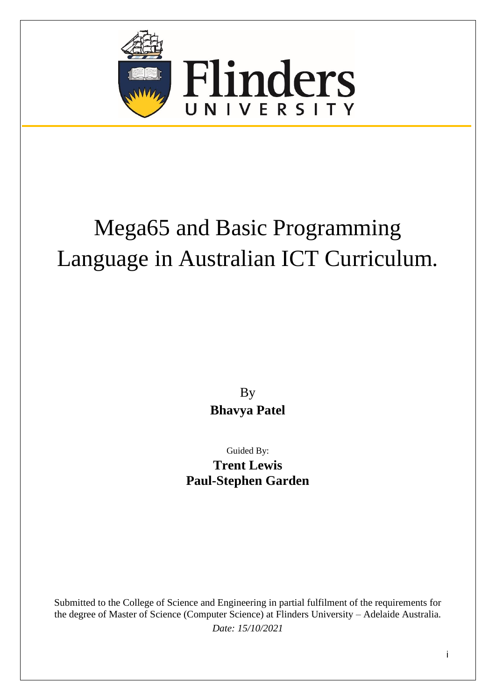

# Mega65 and Basic Programming Language in Australian ICT Curriculum.

By **Bhavya Patel**

Guided By: **Trent Lewis Paul-Stephen Garden**

Submitted to the College of Science and Engineering in partial fulfilment of the requirements for the degree of Master of Science (Computer Science) at Flinders University – Adelaide Australia. *Date: 15/10/2021*

i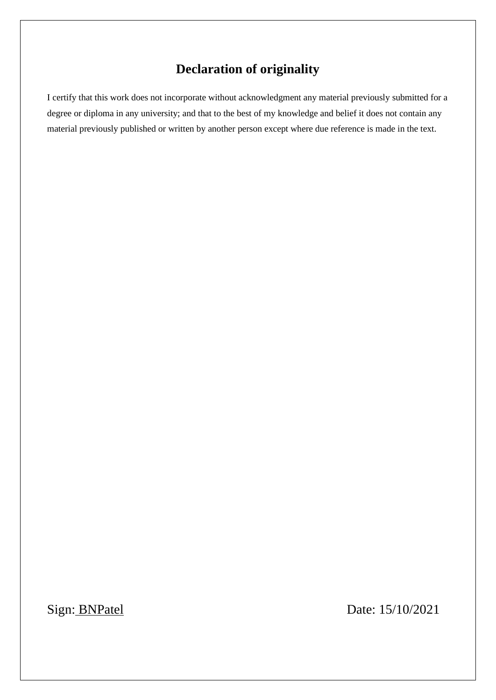# **Declaration of originality**

I certify that this work does not incorporate without acknowledgment any material previously submitted for a degree or diploma in any university; and that to the best of my knowledge and belief it does not contain any material previously published or written by another person except where due reference is made in the text.

Sign: <u>BNPatel</u> Date: 15/10/2021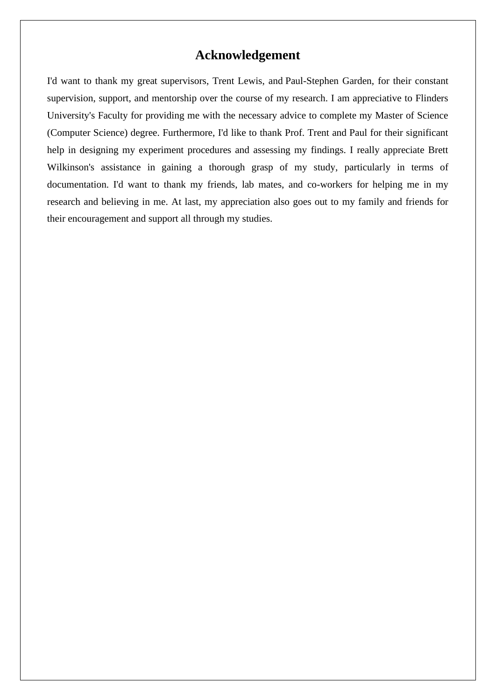# **Acknowledgement**

I'd want to thank my great supervisors, Trent Lewis, and Paul-Stephen Garden, for their constant supervision, support, and mentorship over the course of my research. I am appreciative to Flinders University's Faculty for providing me with the necessary advice to complete my Master of Science (Computer Science) degree. Furthermore, I'd like to thank Prof. Trent and Paul for their significant help in designing my experiment procedures and assessing my findings. I really appreciate Brett Wilkinson's assistance in gaining a thorough grasp of my study, particularly in terms of documentation. I'd want to thank my friends, lab mates, and co-workers for helping me in my research and believing in me. At last, my appreciation also goes out to my family and friends for their encouragement and support all through my studies.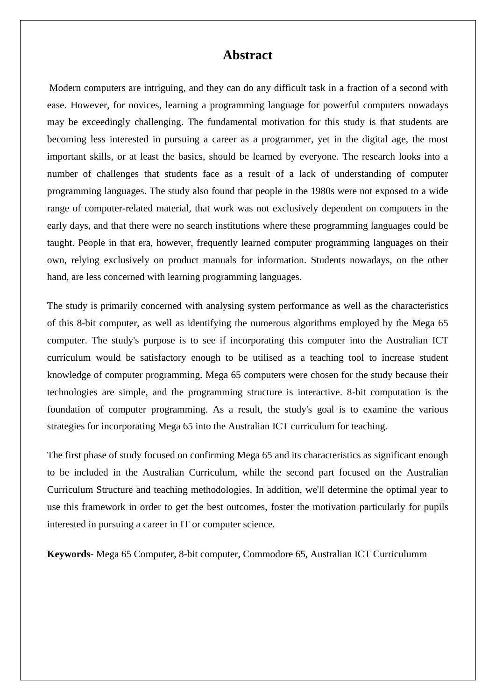### **Abstract**

Modern computers are intriguing, and they can do any difficult task in a fraction of a second with ease. However, for novices, learning a programming language for powerful computers nowadays may be exceedingly challenging. The fundamental motivation for this study is that students are becoming less interested in pursuing a career as a programmer, yet in the digital age, the most important skills, or at least the basics, should be learned by everyone. The research looks into a number of challenges that students face as a result of a lack of understanding of computer programming languages. The study also found that people in the 1980s were not exposed to a wide range of computer-related material, that work was not exclusively dependent on computers in the early days, and that there were no search institutions where these programming languages could be taught. People in that era, however, frequently learned computer programming languages on their own, relying exclusively on product manuals for information. Students nowadays, on the other hand, are less concerned with learning programming languages.

The study is primarily concerned with analysing system performance as well as the characteristics of this 8-bit computer, as well as identifying the numerous algorithms employed by the Mega 65 computer. The study's purpose is to see if incorporating this computer into the Australian ICT curriculum would be satisfactory enough to be utilised as a teaching tool to increase student knowledge of computer programming. Mega 65 computers were chosen for the study because their technologies are simple, and the programming structure is interactive. 8-bit computation is the foundation of computer programming. As a result, the study's goal is to examine the various strategies for incorporating Mega 65 into the Australian ICT curriculum for teaching.

The first phase of study focused on confirming Mega 65 and its characteristics as significant enough to be included in the Australian Curriculum, while the second part focused on the Australian Curriculum Structure and teaching methodologies. In addition, we'll determine the optimal year to use this framework in order to get the best outcomes, foster the motivation particularly for pupils interested in pursuing a career in IT or computer science.

**Keywords-** Mega 65 Computer, 8-bit computer, Commodore 65, Australian ICT Curriculumm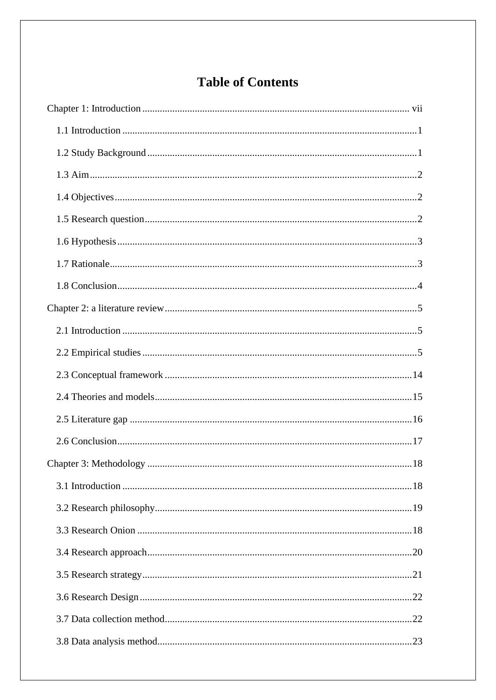# **Table of Contents**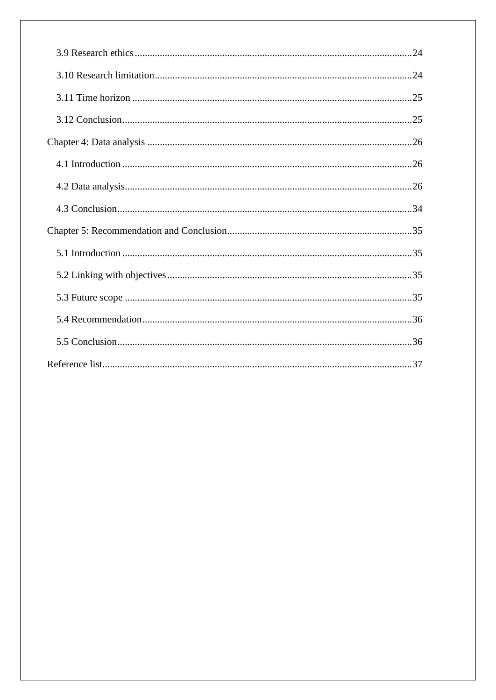<span id="page-5-0"></span>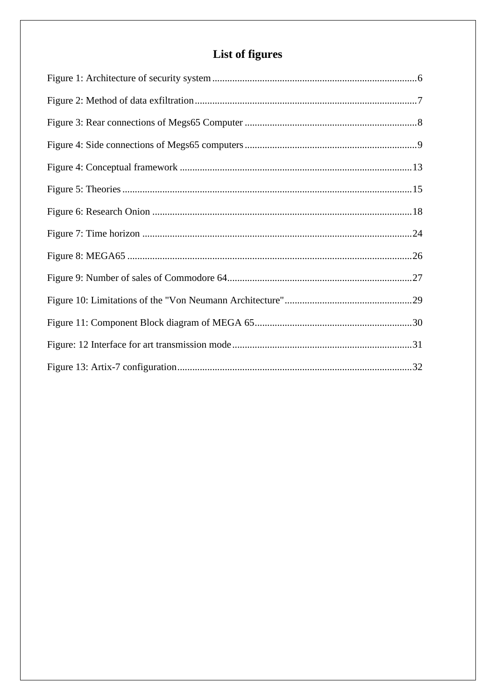# List of figures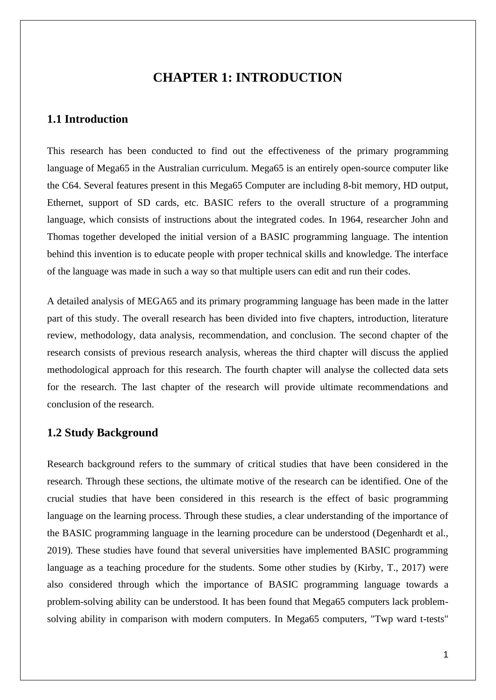# **CHAPTER 1: INTRODUCTION**

#### <span id="page-7-0"></span>**1.1 Introduction**

This research has been conducted to find out the effectiveness of the primary programming language of Mega65 in the Australian curriculum. Mega65 is an entirely open-source computer like the C64. Several features present in this Mega65 Computer are including 8-bit memory, HD output, Ethernet, support of SD cards, etc. BASIC refers to the overall structure of a programming language, which consists of instructions about the integrated codes. In 1964, researcher John and Thomas together developed the initial version of a BASIC programming language. The intention behind this invention is to educate people with proper technical skills and knowledge. The interface of the language was made in such a way so that multiple users can edit and run their codes.

A detailed analysis of MEGA65 and its primary programming language has been made in the latter part of this study. The overall research has been divided into five chapters, introduction, literature review, methodology, data analysis, recommendation, and conclusion. The second chapter of the research consists of previous research analysis, whereas the third chapter will discuss the applied methodological approach for this research. The fourth chapter will analyse the collected data sets for the research. The last chapter of the research will provide ultimate recommendations and conclusion of the research.

#### <span id="page-7-1"></span>**1.2 Study Background**

Research background refers to the summary of critical studies that have been considered in the research. Through these sections, the ultimate motive of the research can be identified. One of the crucial studies that have been considered in this research is the effect of basic programming language on the learning process. Through these studies, a clear understanding of the importance of the BASIC programming language in the learning procedure can be understood (Degenhardt et al., 2019). These studies have found that several universities have implemented BASIC programming language as a teaching procedure for the students. Some other studies by (Kirby, T., 2017) were also considered through which the importance of BASIC programming language towards a problem-solving ability can be understood. It has been found that Mega65 computers lack problemsolving ability in comparison with modern computers. In Mega65 computers, "Twp ward t-tests"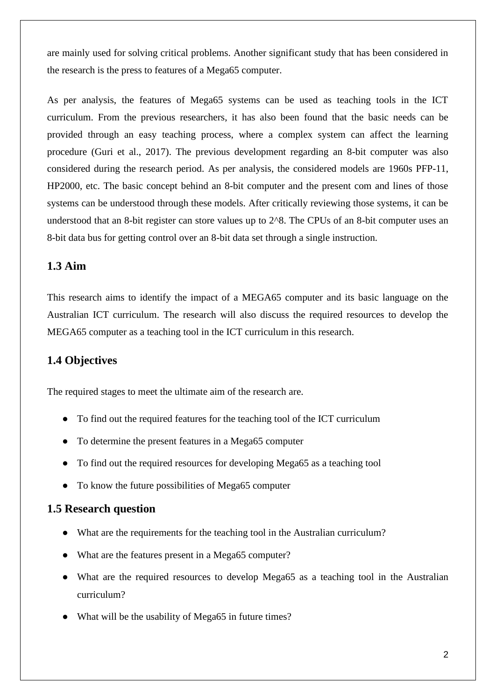are mainly used for solving critical problems. Another significant study that has been considered in the research is the press to features of a Mega65 computer.

As per analysis, the features of Mega65 systems can be used as teaching tools in the ICT curriculum. From the previous researchers, it has also been found that the basic needs can be provided through an easy teaching process, where a complex system can affect the learning procedure (Guri et al., 2017). The previous development regarding an 8-bit computer was also considered during the research period. As per analysis, the considered models are 1960s PFP-11, HP2000, etc. The basic concept behind an 8-bit computer and the present com and lines of those systems can be understood through these models. After critically reviewing those systems, it can be understood that an 8-bit register can store values up to 2^8. The CPUs of an 8-bit computer uses an 8-bit data bus for getting control over an 8-bit data set through a single instruction.

#### <span id="page-8-0"></span>**1.3 Aim**

This research aims to identify the impact of a MEGA65 computer and its basic language on the Australian ICT curriculum. The research will also discuss the required resources to develop the MEGA65 computer as a teaching tool in the ICT curriculum in this research.

#### <span id="page-8-1"></span>**1.4 Objectives**

The required stages to meet the ultimate aim of the research are.

- To find out the required features for the teaching tool of the ICT curriculum
- To determine the present features in a Mega65 computer
- To find out the required resources for developing Mega65 as a teaching tool
- To know the future possibilities of Mega65 computer

#### <span id="page-8-2"></span>**1.5 Research question**

- What are the requirements for the teaching tool in the Australian curriculum?
- What are the features present in a Mega65 computer?
- What are the required resources to develop Mega65 as a teaching tool in the Australian curriculum?
- What will be the usability of Mega65 in future times?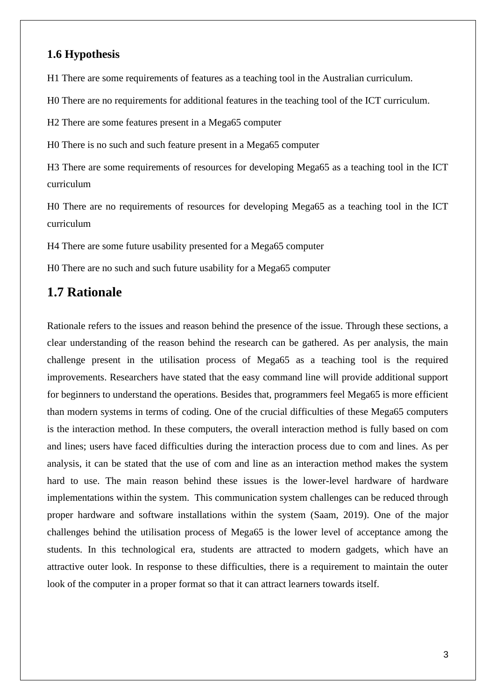## <span id="page-9-0"></span>**1.6 Hypothesis**

H1 There are some requirements of features as a teaching tool in the Australian curriculum.

H0 There are no requirements for additional features in the teaching tool of the ICT curriculum.

H2 There are some features present in a Mega65 computer

H0 There is no such and such feature present in a Mega65 computer

H3 There are some requirements of resources for developing Mega65 as a teaching tool in the ICT curriculum

H0 There are no requirements of resources for developing Mega65 as a teaching tool in the ICT curriculum

H4 There are some future usability presented for a Mega65 computer

H0 There are no such and such future usability for a Mega65 computer

# <span id="page-9-1"></span>**1.7 Rationale**

Rationale refers to the issues and reason behind the presence of the issue. Through these sections, a clear understanding of the reason behind the research can be gathered. As per analysis, the main challenge present in the utilisation process of Mega65 as a teaching tool is the required improvements. Researchers have stated that the easy command line will provide additional support for beginners to understand the operations. Besides that, programmers feel Mega65 is more efficient than modern systems in terms of coding. One of the crucial difficulties of these Mega65 computers is the interaction method. In these computers, the overall interaction method is fully based on com and lines; users have faced difficulties during the interaction process due to com and lines. As per analysis, it can be stated that the use of com and line as an interaction method makes the system hard to use. The main reason behind these issues is the lower-level hardware of hardware implementations within the system. This communication system challenges can be reduced through proper hardware and software installations within the system (Saam, 2019). One of the major challenges behind the utilisation process of Mega65 is the lower level of acceptance among the students. In this technological era, students are attracted to modern gadgets, which have an attractive outer look. In response to these difficulties, there is a requirement to maintain the outer look of the computer in a proper format so that it can attract learners towards itself.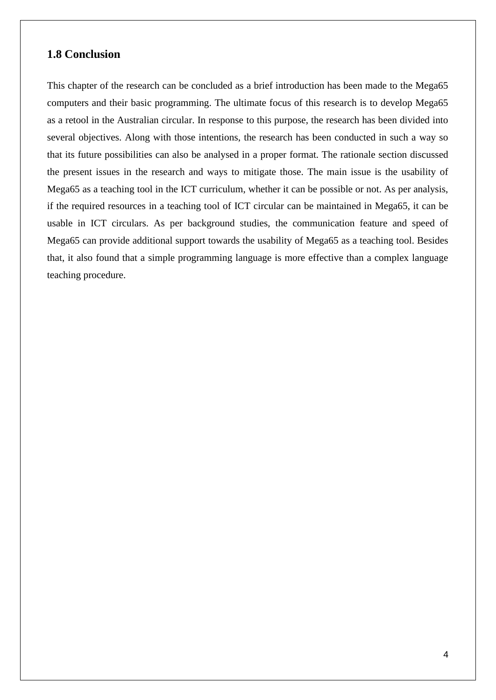#### <span id="page-10-0"></span>**1.8 Conclusion**

This chapter of the research can be concluded as a brief introduction has been made to the Mega65 computers and their basic programming. The ultimate focus of this research is to develop Mega65 as a retool in the Australian circular. In response to this purpose, the research has been divided into several objectives. Along with those intentions, the research has been conducted in such a way so that its future possibilities can also be analysed in a proper format. The rationale section discussed the present issues in the research and ways to mitigate those. The main issue is the usability of Mega65 as a teaching tool in the ICT curriculum, whether it can be possible or not. As per analysis, if the required resources in a teaching tool of ICT circular can be maintained in Mega65, it can be usable in ICT circulars. As per background studies, the communication feature and speed of Mega65 can provide additional support towards the usability of Mega65 as a teaching tool. Besides that, it also found that a simple programming language is more effective than a complex language teaching procedure.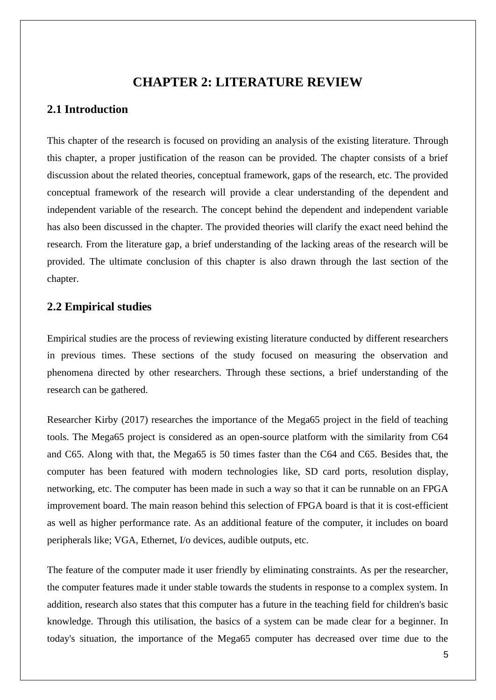# **CHAPTER 2: LITERATURE REVIEW**

#### <span id="page-11-1"></span><span id="page-11-0"></span>**2.1 Introduction**

This chapter of the research is focused on providing an analysis of the existing literature. Through this chapter, a proper justification of the reason can be provided. The chapter consists of a brief discussion about the related theories, conceptual framework, gaps of the research, etc. The provided conceptual framework of the research will provide a clear understanding of the dependent and independent variable of the research. The concept behind the dependent and independent variable has also been discussed in the chapter. The provided theories will clarify the exact need behind the research. From the literature gap, a brief understanding of the lacking areas of the research will be provided. The ultimate conclusion of this chapter is also drawn through the last section of the chapter.

#### <span id="page-11-2"></span>**2.2 Empirical studies**

Empirical studies are the process of reviewing existing literature conducted by different researchers in previous times. These sections of the study focused on measuring the observation and phenomena directed by other researchers. Through these sections, a brief understanding of the research can be gathered.

Researcher Kirby (2017) researches the importance of the Mega65 project in the field of teaching tools. The Mega65 project is considered as an open-source platform with the similarity from C64 and C65. Along with that, the Mega65 is 50 times faster than the C64 and C65. Besides that, the computer has been featured with modern technologies like, SD card ports, resolution display, networking, etc. The computer has been made in such a way so that it can be runnable on an FPGA improvement board. The main reason behind this selection of FPGA board is that it is cost-efficient as well as higher performance rate. As an additional feature of the computer, it includes on board peripherals like; VGA, Ethernet, I/o devices, audible outputs, etc.

The feature of the computer made it user friendly by eliminating constraints. As per the researcher, the computer features made it under stable towards the students in response to a complex system. In addition, research also states that this computer has a future in the teaching field for children's basic knowledge. Through this utilisation, the basics of a system can be made clear for a beginner. In today's situation, the importance of the Mega65 computer has decreased over time due to the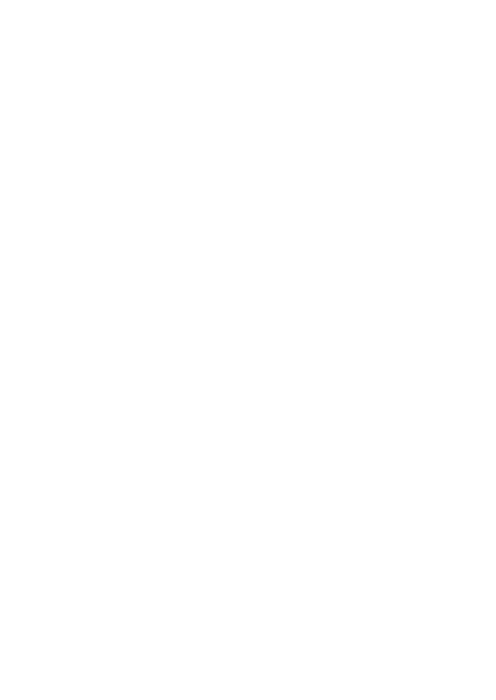# **Table of Contents**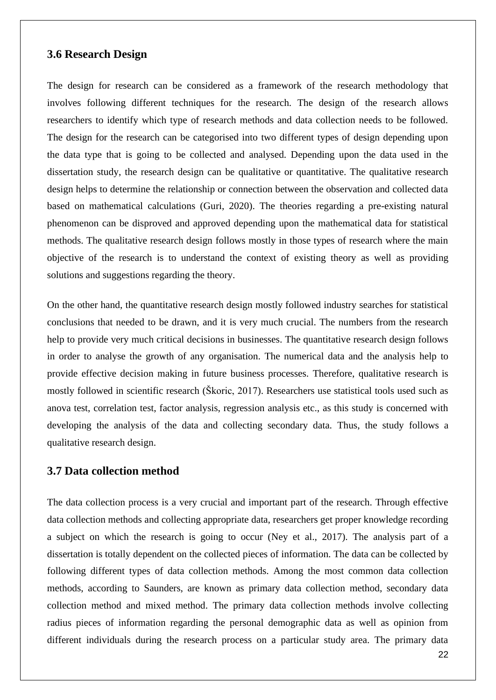#### <span id="page-28-0"></span>**3.6 Research Design**

The design for research can be considered as a framework of the research methodology that involves following different techniques for the research. The design of the research allows researchers to identify which type of research methods and data collection needs to be followed. The design for the research can be categorised into two different types of design depending upon the data type that is going to be collected and analysed. Depending upon the data used in the dissertation study, the research design can be qualitative or quantitative. The qualitative research design helps to determine the relationship or connection between the observation and collected data based on mathematical calculations (Guri, 2020). The theories regarding a pre-existing natural phenomenon can be disproved and approved depending upon the mathematical data for statistical methods. The qualitative research design follows mostly in those types of research where the main objective of the research is to understand the context of existing theory as well as providing solutions and suggestions regarding the theory.

On the other hand, the quantitative research design mostly followed industry searches for statistical conclusions that needed to be drawn, and it is very much crucial. The numbers from the research help to provide very much critical decisions in businesses. The quantitative research design follows in order to analyse the growth of any organisation. The numerical data and the analysis help to provide effective decision making in future business processes. Therefore, qualitative research is mostly followed in scientific research (Škoric, 2017). Researchers use statistical tools used such as anova test, correlation test, factor analysis, regression analysis etc., as this study is concerned with developing the analysis of the data and collecting secondary data. Thus, the study follows a qualitative research design.

#### <span id="page-28-1"></span>**3.7 Data collection method**

The data collection process is a very crucial and important part of the research. Through effective data collection methods and collecting appropriate data, researchers get proper knowledge recording a subject on which the research is going to occur (Ney et al., 2017). The analysis part of a dissertation is totally dependent on the collected pieces of information. The data can be collected by following different types of data collection methods. Among the most common data collection methods, according to Saunders, are known as primary data collection method, secondary data collection method and mixed method. The primary data collection methods involve collecting radius pieces of information regarding the personal demographic data as well as opinion from different individuals during the research process on a particular study area. The primary data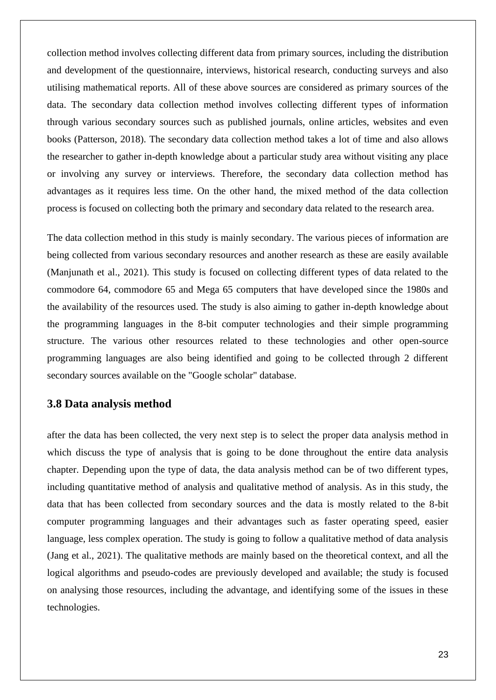collection method involves collecting different data from primary sources, including the distribution and development of the questionnaire, interviews, historical research, conducting surveys and also utilising mathematical reports. All of these above sources are considered as primary sources of the data. The secondary data collection method involves collecting different types of information through various secondary sources such as published journals, online articles, websites and even books (Patterson, 2018). The secondary data collection method takes a lot of time and also allows the researcher to gather in-depth knowledge about a particular study area without visiting any place or involving any survey or interviews. Therefore, the secondary data collection method has advantages as it requires less time. On the other hand, the mixed method of the data collection process is focused on collecting both the primary and secondary data related to the research area.

The data collection method in this study is mainly secondary. The various pieces of information are being collected from various secondary resources and another research as these are easily available (Manjunath et al., 2021). This study is focused on collecting different types of data related to the commodore 64, commodore 65 and Mega 65 computers that have developed since the 1980s and the availability of the resources used. The study is also aiming to gather in-depth knowledge about the programming languages in the 8-bit computer technologies and their simple programming structure. The various other resources related to these technologies and other open-source programming languages are also being identified and going to be collected through 2 different secondary sources available on the "Google scholar" database.

#### <span id="page-29-0"></span>**3.8 Data analysis method**

after the data has been collected, the very next step is to select the proper data analysis method in which discuss the type of analysis that is going to be done throughout the entire data analysis chapter. Depending upon the type of data, the data analysis method can be of two different types, including quantitative method of analysis and qualitative method of analysis. As in this study, the data that has been collected from secondary sources and the data is mostly related to the 8-bit computer programming languages and their advantages such as faster operating speed, easier language, less complex operation. The study is going to follow a qualitative method of data analysis (Jang et al., 2021). The qualitative methods are mainly based on the theoretical context, and all the logical algorithms and pseudo-codes are previously developed and available; the study is focused on analysing those resources, including the advantage, and identifying some of the issues in these technologies.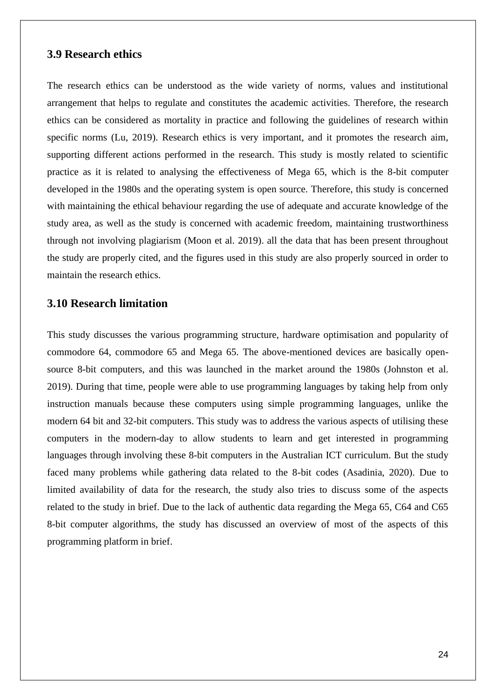#### <span id="page-30-0"></span>**3.9 Research ethics**

The research ethics can be understood as the wide variety of norms, values and institutional arrangement that helps to regulate and constitutes the academic activities. Therefore, the research ethics can be considered as mortality in practice and following the guidelines of research within specific norms (Lu, 2019). Research ethics is very important, and it promotes the research aim, supporting different actions performed in the research. This study is mostly related to scientific practice as it is related to analysing the effectiveness of Mega 65, which is the 8-bit computer developed in the 1980s and the operating system is open source. Therefore, this study is concerned with maintaining the ethical behaviour regarding the use of adequate and accurate knowledge of the study area, as well as the study is concerned with academic freedom, maintaining trustworthiness through not involving plagiarism (Moon et al. 2019). all the data that has been present throughout the study are properly cited, and the figures used in this study are also properly sourced in order to maintain the research ethics.

#### <span id="page-30-1"></span>**3.10 Research limitation**

This study discusses the various programming structure, hardware optimisation and popularity of commodore 64, commodore 65 and Mega 65. The above-mentioned devices are basically opensource 8-bit computers, and this was launched in the market around the 1980s (Johnston et al. 2019). During that time, people were able to use programming languages by taking help from only instruction manuals because these computers using simple programming languages, unlike the modern 64 bit and 32-bit computers. This study was to address the various aspects of utilising these computers in the modern-day to allow students to learn and get interested in programming languages through involving these 8-bit computers in the Australian ICT curriculum. But the study faced many problems while gathering data related to the 8-bit codes (Asadinia, 2020). Due to limited availability of data for the research, the study also tries to discuss some of the aspects related to the study in brief. Due to the lack of authentic data regarding the Mega 65, C64 and C65 8-bit computer algorithms, the study has discussed an overview of most of the aspects of this programming platform in brief.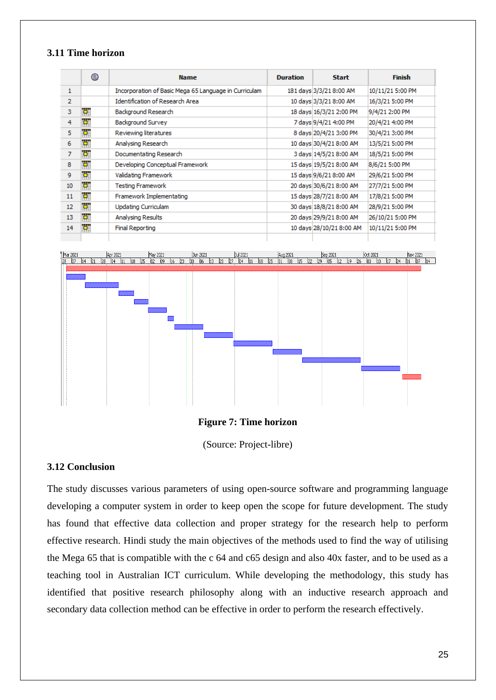#### <span id="page-31-0"></span>**3.11 Time horizon**

|                  | 0 | <b>Name</b>                                           | <b>Duration</b> | Start                    | <b>Finish</b>    |
|------------------|---|-------------------------------------------------------|-----------------|--------------------------|------------------|
| 1                |   | Incorporation of Basic Mega 65 Language in Curriculam |                 | 181 days 3/3/21 8:00 AM  | 10/11/21 5:00 PM |
| $\overline{2}$   |   | <b>Identification of Research Area</b>                |                 | 10 days 3/3/21 8:00 AM   | 16/3/21 5:00 PM  |
| 3                | 萆 | Background Research                                   |                 | 18 days 16/3/21 2:00 PM  | 9/4/21 2:00 PM   |
| 4                | 荦 | Background Survey                                     |                 | 7 days 9/4/21 4:00 PM    | 20/4/21 4:00 PM  |
| 5                | 荦 | Reviewing literatures                                 |                 | 8 days 20/4/21 3:00 PM   | 30/4/21 3:00 PM  |
| 6                | 荦 | Analysing Research                                    |                 | 10 days 30/4/21 8:00 AM  | 13/5/21 5:00 PM  |
| $\overline{7}$   | 荦 | Documentating Research                                |                 | 3 days 14/5/21 8:00 AM   | 18/5/21 5:00 PM  |
| 8                | 聾 | Developing Conceptual Framework                       |                 | 15 days 19/5/21 8:00 AM  | 8/6/21 5:00 PM   |
| 9                | 萆 | Validating Framework                                  |                 | 15 days 9/6/21 8:00 AM   | 29/6/21 5:00 PM  |
| 10 <sup>10</sup> | 荦 | <b>Testing Framework</b>                              |                 | 20 days 30/6/21 8:00 AM  | 27/7/21 5:00 PM  |
| 11               | 荦 | Framework Implementating                              |                 | 15 days 28/7/21 8:00 AM  | 17/8/21 5:00 PM  |
| 12 <sup>2</sup>  | 罾 | Updating Curriculam                                   |                 | 30 days 18/8/21 8:00 AM  | 28/9/21 5:00 PM  |
| 13               | 萆 | Analysing Results                                     |                 | 20 days 29/9/21 8:00 AM  | 26/10/21 5:00 PM |
| 14               | 햭 | Final Reporting                                       |                 | 10 days 28/10/21 8:00 AM | 10/11/21 5:00 PM |
|                  |   |                                                       |                 |                          |                  |



**Figure 7: Time horizon**

(Source: Project-libre)

#### <span id="page-31-2"></span><span id="page-31-1"></span>**3.12 Conclusion**

The study discusses various parameters of using open-source software and programming language developing a computer system in order to keep open the scope for future development. The study has found that effective data collection and proper strategy for the research help to perform effective research. Hindi study the main objectives of the methods used to find the way of utilising the Mega 65 that is compatible with the c 64 and c65 design and also 40x faster, and to be used as a teaching tool in Australian ICT curriculum. While developing the methodology, this study has identified that positive research philosophy along with an inductive research approach and secondary data collection method can be effective in order to perform the research effectively.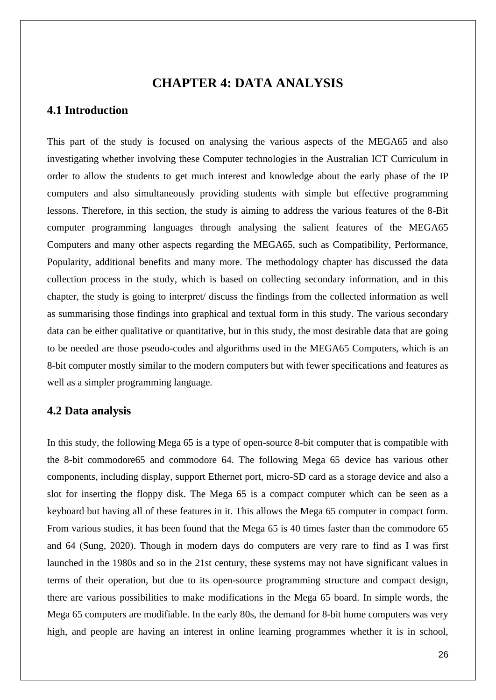## **CHAPTER 4: DATA ANALYSIS**

#### <span id="page-32-1"></span><span id="page-32-0"></span>**4.1 Introduction**

This part of the study is focused on analysing the various aspects of the MEGA65 and also investigating whether involving these Computer technologies in the Australian ICT Curriculum in order to allow the students to get much interest and knowledge about the early phase of the IP computers and also simultaneously providing students with simple but effective programming lessons. Therefore, in this section, the study is aiming to address the various features of the 8-Bit computer programming languages through analysing the salient features of the MEGA65 Computers and many other aspects regarding the MEGA65, such as Compatibility, Performance, Popularity, additional benefits and many more. The methodology chapter has discussed the data collection process in the study, which is based on collecting secondary information, and in this chapter, the study is going to interpret/ discuss the findings from the collected information as well as summarising those findings into graphical and textual form in this study. The various secondary data can be either qualitative or quantitative, but in this study, the most desirable data that are going to be needed are those pseudo-codes and algorithms used in the MEGA65 Computers, which is an 8-bit computer mostly similar to the modern computers but with fewer specifications and features as well as a simpler programming language.

#### <span id="page-32-2"></span>**4.2 Data analysis**

In this study, the following Mega 65 is a type of open-source 8-bit computer that is compatible with the 8-bit commodore65 and commodore 64. The following Mega 65 device has various other components, including display, support Ethernet port, micro-SD card as a storage device and also a slot for inserting the floppy disk. The Mega 65 is a compact computer which can be seen as a keyboard but having all of these features in it. This allows the Mega 65 computer in compact form. From various studies, it has been found that the Mega 65 is 40 times faster than the commodore 65 and 64 (Sung, 2020). Though in modern days do computers are very rare to find as I was first launched in the 1980s and so in the 21st century, these systems may not have significant values in terms of their operation, but due to its open-source programming structure and compact design, there are various possibilities to make modifications in the Mega 65 board. In simple words, the Mega 65 computers are modifiable. In the early 80s, the demand for 8-bit home computers was very high, and people are having an interest in online learning programmes whether it is in school,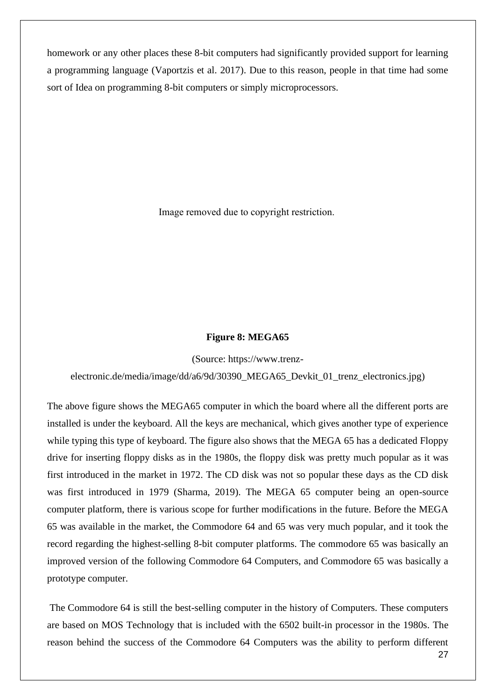homework or any other places these 8-bit computers had significantly provided support for learning a programming language (Vaportzis et al. 2017). Due to this reason, people in that time had some sort of Idea on programming 8-bit computers or simply microprocessors.

Image removed due to copyright restriction.

#### **Figure 8: MEGA65**

(Source: https://www.trenz-

<span id="page-33-0"></span>electronic.de/media/image/dd/a6/9d/30390\_MEGA65\_Devkit\_01\_trenz\_electronics.jpg)

The above figure shows the MEGA65 computer in which the board where all the different ports are installed is under the keyboard. All the keys are mechanical, which gives another type of experience while typing this type of keyboard. The figure also shows that the MEGA 65 has a dedicated Floppy drive for inserting floppy disks as in the 1980s, the floppy disk was pretty much popular as it was first introduced in the market in 1972. The CD disk was not so popular these days as the CD disk was first introduced in 1979 (Sharma, 2019). The MEGA 65 computer being an open-source computer platform, there is various scope for further modifications in the future. Before the MEGA 65 was available in the market, the Commodore 64 and 65 was very much popular, and it took the record regarding the highest-selling 8-bit computer platforms. The commodore 65 was basically an improved version of the following Commodore 64 Computers, and Commodore 65 was basically a prototype computer.

The Commodore 64 is still the best-selling computer in the history of Computers. These computers are based on MOS Technology that is included with the 6502 built-in processor in the 1980s. The reason behind the success of the Commodore 64 Computers was the ability to perform different

27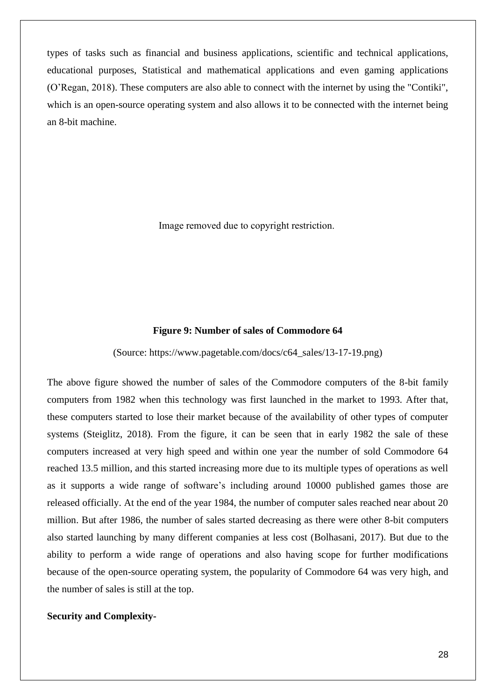types of tasks such as financial and business applications, scientific and technical applications, educational purposes, Statistical and mathematical applications and even gaming applications (O'Regan, 2018). These computers are also able to connect with the internet by using the "Contiki", which is an open-source operating system and also allows it to be connected with the internet being an 8-bit machine.

Image removed due to copyright restriction.

#### **Figure 9: Number of sales of Commodore 64**

(Source: https://www.pagetable.com/docs/c64\_sales/13-17-19.png)

<span id="page-34-0"></span>The above figure showed the number of sales of the Commodore computers of the 8-bit family computers from 1982 when this technology was first launched in the market to 1993. After that, these computers started to lose their market because of the availability of other types of computer systems (Steiglitz, 2018). From the figure, it can be seen that in early 1982 the sale of these computers increased at very high speed and within one year the number of sold Commodore 64 reached 13.5 million, and this started increasing more due to its multiple types of operations as well as it supports a wide range of software's including around 10000 published games those are released officially. At the end of the year 1984, the number of computer sales reached near about 20 million. But after 1986, the number of sales started decreasing as there were other 8-bit computers also started launching by many different companies at less cost (Bolhasani, 2017). But due to the ability to perform a wide range of operations and also having scope for further modifications because of the open-source operating system, the popularity of Commodore 64 was very high, and the number of sales is still at the top.

#### **Security and Complexity-**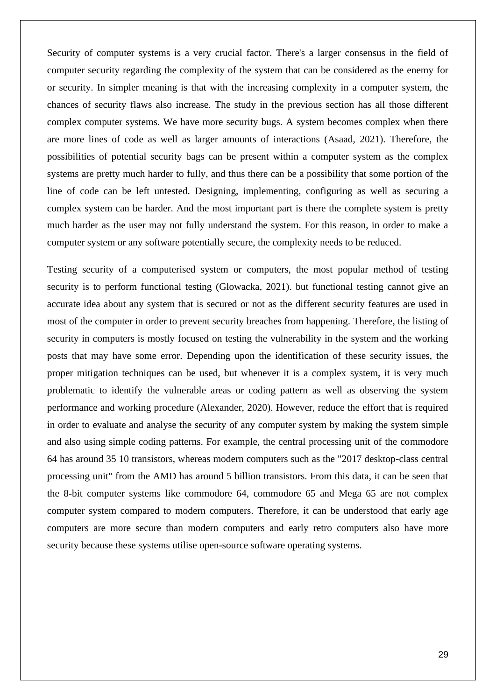Security of computer systems is a very crucial factor. There's a larger consensus in the field of computer security regarding the complexity of the system that can be considered as the enemy for or security. In simpler meaning is that with the increasing complexity in a computer system, the chances of security flaws also increase. The study in the previous section has all those different complex computer systems. We have more security bugs. A system becomes complex when there are more lines of code as well as larger amounts of interactions (Asaad, 2021). Therefore, the possibilities of potential security bags can be present within a computer system as the complex systems are pretty much harder to fully, and thus there can be a possibility that some portion of the line of code can be left untested. Designing, implementing, configuring as well as securing a complex system can be harder. And the most important part is there the complete system is pretty much harder as the user may not fully understand the system. For this reason, in order to make a computer system or any software potentially secure, the complexity needs to be reduced.

Testing security of a computerised system or computers, the most popular method of testing security is to perform functional testing (Glowacka, 2021). but functional testing cannot give an accurate idea about any system that is secured or not as the different security features are used in most of the computer in order to prevent security breaches from happening. Therefore, the listing of security in computers is mostly focused on testing the vulnerability in the system and the working posts that may have some error. Depending upon the identification of these security issues, the proper mitigation techniques can be used, but whenever it is a complex system, it is very much problematic to identify the vulnerable areas or coding pattern as well as observing the system performance and working procedure (Alexander, 2020). However, reduce the effort that is required in order to evaluate and analyse the security of any computer system by making the system simple and also using simple coding patterns. For example, the central processing unit of the commodore 64 has around 35 10 transistors, whereas modern computers such as the "2017 desktop-class central processing unit" from the AMD has around 5 billion transistors. From this data, it can be seen that the 8-bit computer systems like commodore 64, commodore 65 and Mega 65 are not complex computer system compared to modern computers. Therefore, it can be understood that early age computers are more secure than modern computers and early retro computers also have more security because these systems utilise open-source software operating systems.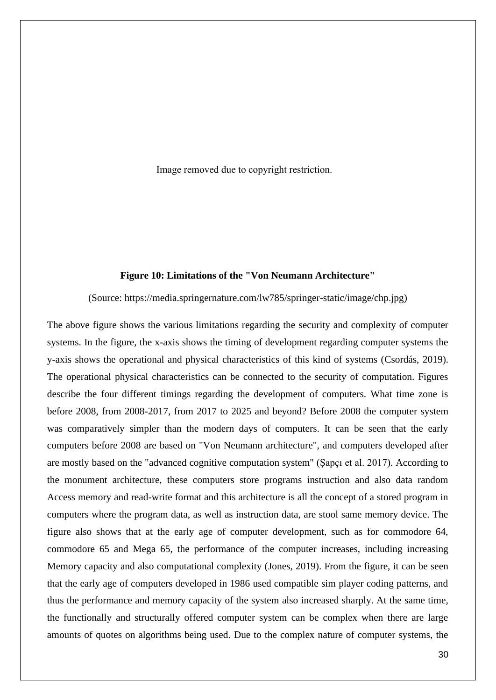Image removed due to copyright restriction.

#### **Figure 10: Limitations of the "Von Neumann Architecture"**

<span id="page-36-0"></span>(Source: https://media.springernature.com/lw785/springer-static/image/chp.jpg)

The above figure shows the various limitations regarding the security and complexity of computer systems. In the figure, the x-axis shows the timing of development regarding computer systems the y-axis shows the operational and physical characteristics of this kind of systems (Csordás, 2019). The operational physical characteristics can be connected to the security of computation. Figures describe the four different timings regarding the development of computers. What time zone is before 2008, from 2008-2017, from 2017 to 2025 and beyond? Before 2008 the computer system was comparatively simpler than the modern days of computers. It can be seen that the early computers before 2008 are based on "Von Neumann architecture", and computers developed after are mostly based on the "advanced cognitive computation system" (Şapçı et al. 2017). According to the monument architecture, these computers store programs instruction and also data random Access memory and read-write format and this architecture is all the concept of a stored program in computers where the program data, as well as instruction data, are stool same memory device. The figure also shows that at the early age of computer development, such as for commodore 64, commodore 65 and Mega 65, the performance of the computer increases, including increasing Memory capacity and also computational complexity (Jones, 2019). From the figure, it can be seen that the early age of computers developed in 1986 used compatible sim player coding patterns, and thus the performance and memory capacity of the system also increased sharply. At the same time, the functionally and structurally offered computer system can be complex when there are large amounts of quotes on algorithms being used. Due to the complex nature of computer systems, the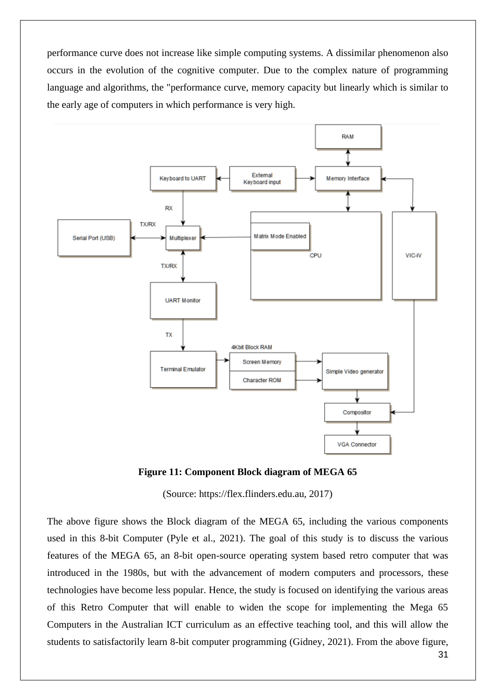performance curve does not increase like simple computing systems. A dissimilar phenomenon also occurs in the evolution of the cognitive computer. Due to the complex nature of programming language and algorithms, the "performance curve, memory capacity but linearly which is similar to the early age of computers in which performance is very high.



**Figure 11: Component Block diagram of MEGA 65**

(Source: https://flex.flinders.edu.au, 2017)

<span id="page-37-0"></span>The above figure shows the Block diagram of the MEGA 65, including the various components used in this 8-bit Computer (Pyle et al., 2021). The goal of this study is to discuss the various features of the MEGA 65, an 8-bit open-source operating system based retro computer that was introduced in the 1980s, but with the advancement of modern computers and processors, these technologies have become less popular. Hence, the study is focused on identifying the various areas of this Retro Computer that will enable to widen the scope for implementing the Mega 65 Computers in the Australian ICT curriculum as an effective teaching tool, and this will allow the students to satisfactorily learn 8-bit computer programming (Gidney, 2021). From the above figure,

31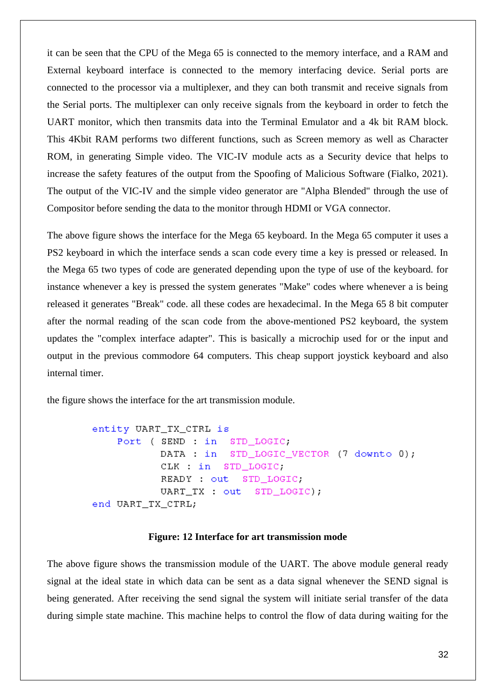it can be seen that the CPU of the Mega 65 is connected to the memory interface, and a RAM and External keyboard interface is connected to the memory interfacing device. Serial ports are connected to the processor via a multiplexer, and they can both transmit and receive signals from the Serial ports. The multiplexer can only receive signals from the keyboard in order to fetch the UART monitor, which then transmits data into the Terminal Emulator and a 4k bit RAM block. This 4Kbit RAM performs two different functions, such as Screen memory as well as Character ROM, in generating Simple video. The VIC-IV module acts as a Security device that helps to increase the safety features of the output from the Spoofing of Malicious Software (Fialko, 2021). The output of the VIC-IV and the simple video generator are "Alpha Blended" through the use of Compositor before sending the data to the monitor through HDMI or VGA connector.

The above figure shows the interface for the Mega 65 keyboard. In the Mega 65 computer it uses a PS2 keyboard in which the interface sends a scan code every time a key is pressed or released. In the Mega 65 two types of code are generated depending upon the type of use of the keyboard. for instance whenever a key is pressed the system generates "Make" codes where whenever a is being released it generates "Break" code. all these codes are hexadecimal. In the Mega 65 8 bit computer after the normal reading of the scan code from the above-mentioned PS2 keyboard, the system updates the "complex interface adapter". This is basically a microchip used for or the input and output in the previous commodore 64 computers. This cheap support joystick keyboard and also internal timer.

the figure shows the interface for the art transmission module.

```
entity UART_TX_CTRL is
    Port (SEND in
                      STD_LOGIC.
          DATA : in
                      STD_LOGIC_VECTOR (7 downto 0);
           CLK in
                    STD_LOGIC;
           READY : out STD_LOGIC;
           UART_TX : out
                          STD_LOGIC):
end UART_TX_CTRL;
```
#### **Figure: 12 Interface for art transmission mode**

<span id="page-38-0"></span>The above figure shows the transmission module of the UART. The above module general ready signal at the ideal state in which data can be sent as a data signal whenever the SEND signal is being generated. After receiving the send signal the system will initiate serial transfer of the data during simple state machine. This machine helps to control the flow of data during waiting for the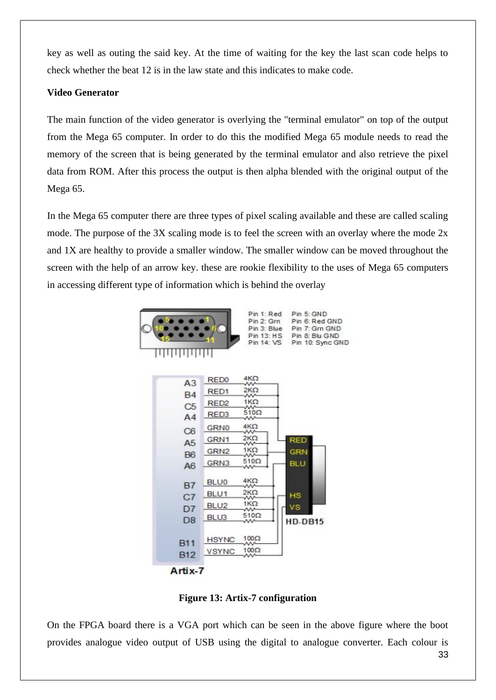key as well as outing the said key. At the time of waiting for the key the last scan code helps to check whether the beat 12 is in the law state and this indicates to make code.

#### **Video Generator**

The main function of the video generator is overlying the "terminal emulator" on top of the output from the Mega 65 computer. In order to do this the modified Mega 65 module needs to read the memory of the screen that is being generated by the terminal emulator and also retrieve the pixel data from ROM. After this process the output is then alpha blended with the original output of the Mega 65.

In the Mega 65 computer there are three types of pixel scaling available and these are called scaling mode. The purpose of the 3X scaling mode is to feel the screen with an overlay where the mode 2x and 1X are healthy to provide a smaller window. The smaller window can be moved throughout the screen with the help of an arrow key. these are rookie flexibility to the uses of Mega 65 computers in accessing different type of information which is behind the overlay



Artix-7



<span id="page-39-0"></span>33 On the FPGA board there is a VGA port which can be seen in the above figure where the boot provides analogue video output of USB using the digital to analogue converter. Each colour is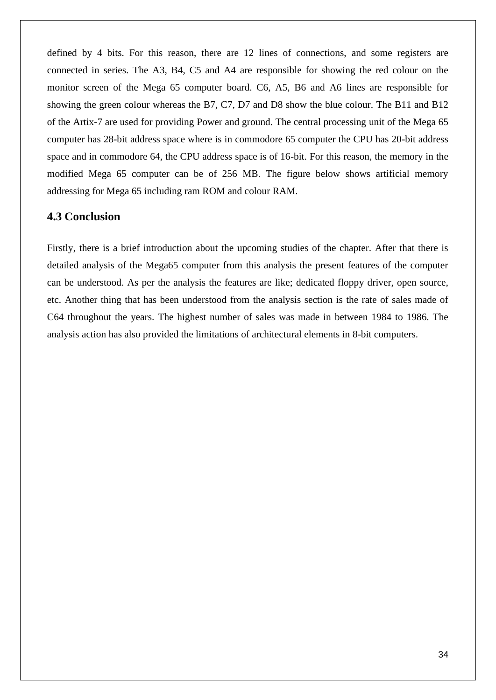defined by 4 bits. For this reason, there are 12 lines of connections, and some registers are connected in series. The A3, B4, C5 and A4 are responsible for showing the red colour on the monitor screen of the Mega 65 computer board. C6, A5, B6 and A6 lines are responsible for showing the green colour whereas the B7, C7, D7 and D8 show the blue colour. The B11 and B12 of the Artix-7 are used for providing Power and ground. The central processing unit of the Mega 65 computer has 28-bit address space where is in commodore 65 computer the CPU has 20-bit address space and in commodore 64, the CPU address space is of 16-bit. For this reason, the memory in the modified Mega 65 computer can be of 256 MB. The figure below shows artificial memory addressing for Mega 65 including ram ROM and colour RAM.

#### <span id="page-40-0"></span>**4.3 Conclusion**

Firstly, there is a brief introduction about the upcoming studies of the chapter. After that there is detailed analysis of the Mega65 computer from this analysis the present features of the computer can be understood. As per the analysis the features are like; dedicated floppy driver, open source, etc. Another thing that has been understood from the analysis section is the rate of sales made of C64 throughout the years. The highest number of sales was made in between 1984 to 1986. The analysis action has also provided the limitations of architectural elements in 8-bit computers.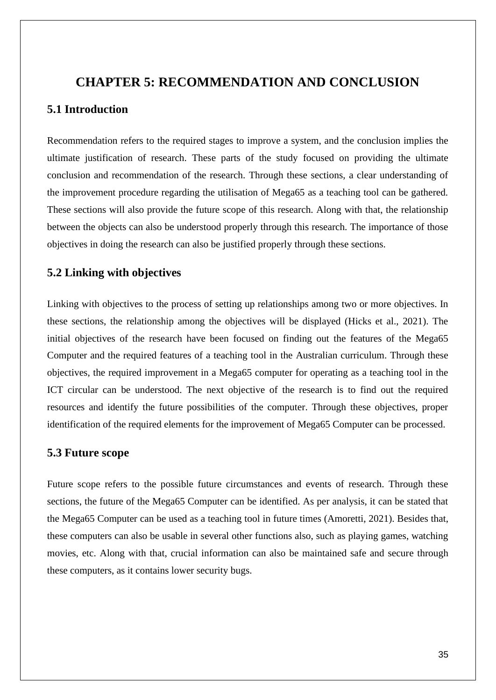# <span id="page-41-0"></span>**CHAPTER 5: RECOMMENDATION AND CONCLUSION**

#### <span id="page-41-1"></span>**5.1 Introduction**

Recommendation refers to the required stages to improve a system, and the conclusion implies the ultimate justification of research. These parts of the study focused on providing the ultimate conclusion and recommendation of the research. Through these sections, a clear understanding of the improvement procedure regarding the utilisation of Mega65 as a teaching tool can be gathered. These sections will also provide the future scope of this research. Along with that, the relationship between the objects can also be understood properly through this research. The importance of those objectives in doing the research can also be justified properly through these sections.

#### <span id="page-41-2"></span>**5.2 Linking with objectives**

Linking with objectives to the process of setting up relationships among two or more objectives. In these sections, the relationship among the objectives will be displayed (Hicks et al., 2021). The initial objectives of the research have been focused on finding out the features of the Mega65 Computer and the required features of a teaching tool in the Australian curriculum. Through these objectives, the required improvement in a Mega65 computer for operating as a teaching tool in the ICT circular can be understood. The next objective of the research is to find out the required resources and identify the future possibilities of the computer. Through these objectives, proper identification of the required elements for the improvement of Mega65 Computer can be processed.

### <span id="page-41-3"></span>**5.3 Future scope**

Future scope refers to the possible future circumstances and events of research. Through these sections, the future of the Mega65 Computer can be identified. As per analysis, it can be stated that the Mega65 Computer can be used as a teaching tool in future times (Amoretti, 2021). Besides that, these computers can also be usable in several other functions also, such as playing games, watching movies, etc. Along with that, crucial information can also be maintained safe and secure through these computers, as it contains lower security bugs.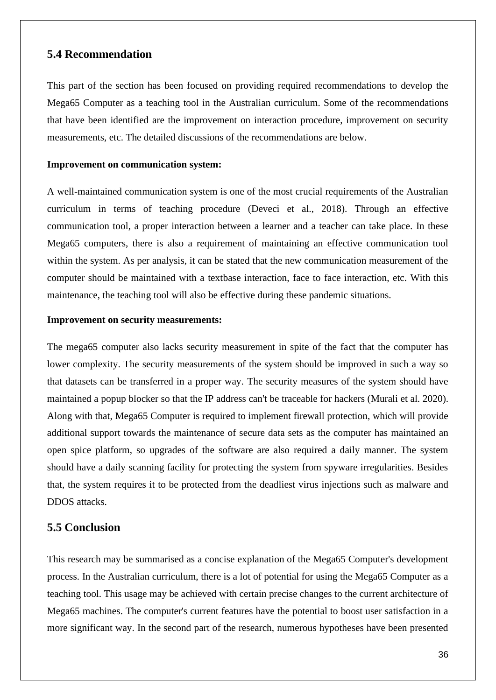#### <span id="page-42-0"></span>**5.4 Recommendation**

This part of the section has been focused on providing required recommendations to develop the Mega65 Computer as a teaching tool in the Australian curriculum. Some of the recommendations that have been identified are the improvement on interaction procedure, improvement on security measurements, etc. The detailed discussions of the recommendations are below.

#### **Improvement on communication system:**

A well-maintained communication system is one of the most crucial requirements of the Australian curriculum in terms of teaching procedure (Deveci et al., 2018). Through an effective communication tool, a proper interaction between a learner and a teacher can take place. In these Mega65 computers, there is also a requirement of maintaining an effective communication tool within the system. As per analysis, it can be stated that the new communication measurement of the computer should be maintained with a textbase interaction, face to face interaction, etc. With this maintenance, the teaching tool will also be effective during these pandemic situations.

#### **Improvement on security measurements:**

The mega65 computer also lacks security measurement in spite of the fact that the computer has lower complexity. The security measurements of the system should be improved in such a way so that datasets can be transferred in a proper way. The security measures of the system should have maintained a popup blocker so that the IP address can't be traceable for hackers (Murali et al. 2020). Along with that, Mega65 Computer is required to implement firewall protection, which will provide additional support towards the maintenance of secure data sets as the computer has maintained an open spice platform, so upgrades of the software are also required a daily manner. The system should have a daily scanning facility for protecting the system from spyware irregularities. Besides that, the system requires it to be protected from the deadliest virus injections such as malware and DDOS attacks.

#### <span id="page-42-1"></span>**5.5 Conclusion**

This research may be summarised as a concise explanation of the Mega65 Computer's development process. In the Australian curriculum, there is a lot of potential for using the Mega65 Computer as a teaching tool. This usage may be achieved with certain precise changes to the current architecture of Mega65 machines. The computer's current features have the potential to boost user satisfaction in a more significant way. In the second part of the research, numerous hypotheses have been presented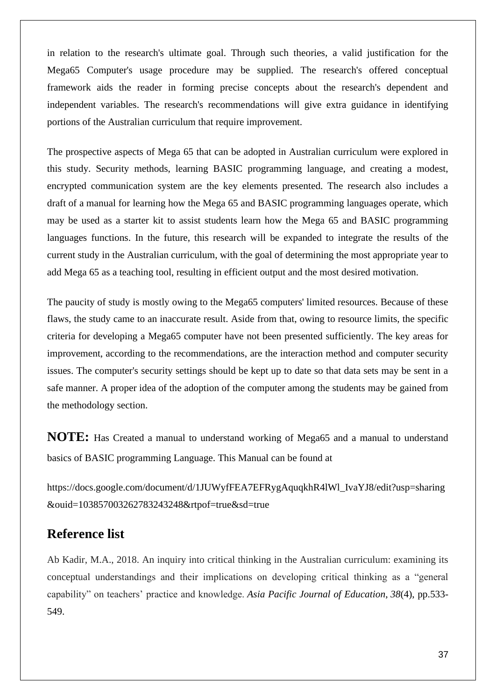in relation to the research's ultimate goal. Through such theories, a valid justification for the Mega65 Computer's usage procedure may be supplied. The research's offered conceptual framework aids the reader in forming precise concepts about the research's dependent and independent variables. The research's recommendations will give extra guidance in identifying portions of the Australian curriculum that require improvement.

The prospective aspects of Mega 65 that can be adopted in Australian curriculum were explored in this study. Security methods, learning BASIC programming language, and creating a modest, encrypted communication system are the key elements presented. The research also includes a draft of a manual for learning how the Mega 65 and BASIC programming languages operate, which may be used as a starter kit to assist students learn how the Mega 65 and BASIC programming languages functions. In the future, this research will be expanded to integrate the results of the current study in the Australian curriculum, with the goal of determining the most appropriate year to add Mega 65 as a teaching tool, resulting in efficient output and the most desired motivation.

The paucity of study is mostly owing to the Mega65 computers' limited resources. Because of these flaws, the study came to an inaccurate result. Aside from that, owing to resource limits, the specific criteria for developing a Mega65 computer have not been presented sufficiently. The key areas for improvement, according to the recommendations, are the interaction method and computer security issues. The computer's security settings should be kept up to date so that data sets may be sent in a safe manner. A proper idea of the adoption of the computer among the students may be gained from the methodology section.

**NOTE:** Has Created a manual to understand working of Mega65 and a manual to understand basics of BASIC programming Language. This Manual can be found at

https://docs.google.com/document/d/1JUWyfFEA7EFRygAquqkhR4lWl\_IvaYJ8/edit?usp=sharing &ouid=103857003262783243248&rtpof=true&sd=true

# <span id="page-43-0"></span>**Reference list**

Ab Kadir, M.A., 2018. An inquiry into critical thinking in the Australian curriculum: examining its conceptual understandings and their implications on developing critical thinking as a "general capability" on teachers' practice and knowledge. *Asia Pacific Journal of Education*, *38*(4), pp.533- 549.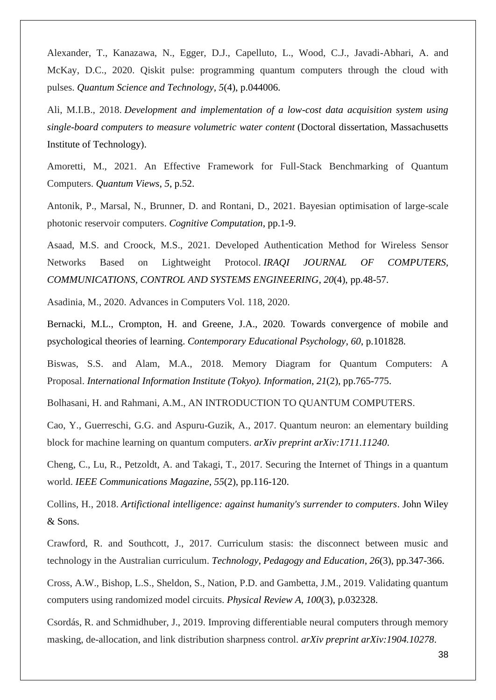Alexander, T., Kanazawa, N., Egger, D.J., Capelluto, L., Wood, C.J., Javadi-Abhari, A. and McKay, D.C., 2020. Qiskit pulse: programming quantum computers through the cloud with pulses. *Quantum Science and Technology*, *5*(4), p.044006.

Ali, M.I.B., 2018. *Development and implementation of a low-cost data acquisition system using single-board computers to measure volumetric water content* (Doctoral dissertation, Massachusetts Institute of Technology).

Amoretti, M., 2021. An Effective Framework for Full-Stack Benchmarking of Quantum Computers. *Quantum Views*, *5*, p.52.

Antonik, P., Marsal, N., Brunner, D. and Rontani, D., 2021. Bayesian optimisation of large-scale photonic reservoir computers. *Cognitive Computation*, pp.1-9.

Asaad, M.S. and Croock, M.S., 2021. Developed Authentication Method for Wireless Sensor Networks Based on Lightweight Protocol. *IRAQI JOURNAL OF COMPUTERS, COMMUNICATIONS, CONTROL AND SYSTEMS ENGINEERING*, *20*(4), pp.48-57.

Asadinia, M., 2020. Advances in Computers Vol. 118, 2020.

Bernacki, M.L., Crompton, H. and Greene, J.A., 2020. Towards convergence of mobile and psychological theories of learning. *Contemporary Educational Psychology*, *60*, p.101828.

Biswas, S.S. and Alam, M.A., 2018. Memory Diagram for Quantum Computers: A Proposal. *International Information Institute (Tokyo). Information*, *21*(2), pp.765-775.

Bolhasani, H. and Rahmani, A.M., AN INTRODUCTION TO QUANTUM COMPUTERS.

Cao, Y., Guerreschi, G.G. and Aspuru-Guzik, A., 2017. Quantum neuron: an elementary building block for machine learning on quantum computers. *arXiv preprint arXiv:1711.11240*.

Cheng, C., Lu, R., Petzoldt, A. and Takagi, T., 2017. Securing the Internet of Things in a quantum world. *IEEE Communications Magazine*, *55*(2), pp.116-120.

Collins, H., 2018. *Artifictional intelligence: against humanity's surrender to computers*. John Wiley & Sons.

Crawford, R. and Southcott, J., 2017. Curriculum stasis: the disconnect between music and technology in the Australian curriculum. *Technology, Pedagogy and Education*, *26*(3), pp.347-366.

Cross, A.W., Bishop, L.S., Sheldon, S., Nation, P.D. and Gambetta, J.M., 2019. Validating quantum computers using randomized model circuits. *Physical Review A*, *100*(3), p.032328.

Csordás, R. and Schmidhuber, J., 2019. Improving differentiable neural computers through memory masking, de-allocation, and link distribution sharpness control. *arXiv preprint arXiv:1904.10278*.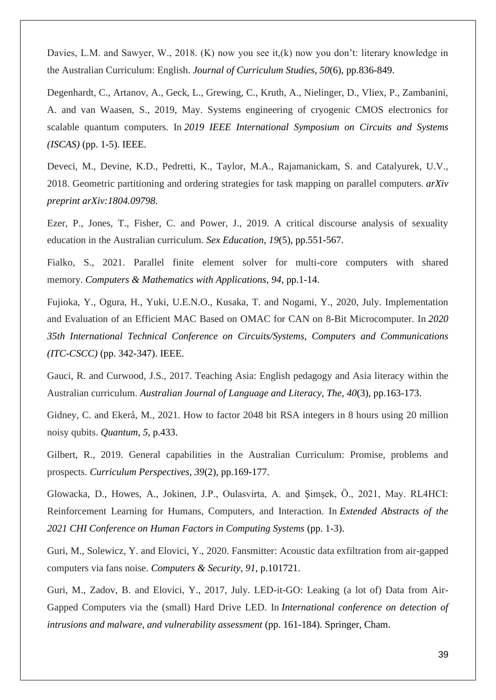Davies, L.M. and Sawyer, W., 2018. (K) now you see it,(k) now you don't: literary knowledge in the Australian Curriculum: English. *Journal of Curriculum Studies*, *50*(6), pp.836-849.

Degenhardt, C., Artanov, A., Geck, L., Grewing, C., Kruth, A., Nielinger, D., Vliex, P., Zambanini, A. and van Waasen, S., 2019, May. Systems engineering of cryogenic CMOS electronics for scalable quantum computers. In *2019 IEEE International Symposium on Circuits and Systems (ISCAS)* (pp. 1-5). IEEE.

Deveci, M., Devine, K.D., Pedretti, K., Taylor, M.A., Rajamanickam, S. and Catalyurek, U.V., 2018. Geometric partitioning and ordering strategies for task mapping on parallel computers. *arXiv preprint arXiv:1804.09798*.

Ezer, P., Jones, T., Fisher, C. and Power, J., 2019. A critical discourse analysis of sexuality education in the Australian curriculum. *Sex Education*, *19*(5), pp.551-567.

Fialko, S., 2021. Parallel finite element solver for multi-core computers with shared memory. *Computers & Mathematics with Applications*, *94*, pp.1-14.

Fujioka, Y., Ogura, H., Yuki, U.E.N.O., Kusaka, T. and Nogami, Y., 2020, July. Implementation and Evaluation of an Efficient MAC Based on OMAC for CAN on 8-Bit Microcomputer. In *2020 35th International Technical Conference on Circuits/Systems, Computers and Communications (ITC-CSCC)* (pp. 342-347). IEEE.

Gauci, R. and Curwood, J.S., 2017. Teaching Asia: English pedagogy and Asia literacy within the Australian curriculum. *Australian Journal of Language and Literacy, The*, *40*(3), pp.163-173.

Gidney, C. and Ekerå, M., 2021. How to factor 2048 bit RSA integers in 8 hours using 20 million noisy qubits. *Quantum*, *5*, p.433.

Gilbert, R., 2019. General capabilities in the Australian Curriculum: Promise, problems and prospects. *Curriculum Perspectives*, *39*(2), pp.169-177.

Glowacka, D., Howes, A., Jokinen, J.P., Oulasvirta, A. and Şimşek, Ö., 2021, May. RL4HCI: Reinforcement Learning for Humans, Computers, and Interaction. In *Extended Abstracts of the 2021 CHI Conference on Human Factors in Computing Systems* (pp. 1-3).

Guri, M., Solewicz, Y. and Elovici, Y., 2020. Fansmitter: Acoustic data exfiltration from air-gapped computers via fans noise. *Computers & Security*, *91*, p.101721.

Guri, M., Zadov, B. and Elovici, Y., 2017, July. LED-it-GO: Leaking (a lot of) Data from Air-Gapped Computers via the (small) Hard Drive LED. In *International conference on detection of intrusions and malware, and vulnerability assessment* (pp. 161-184). Springer, Cham.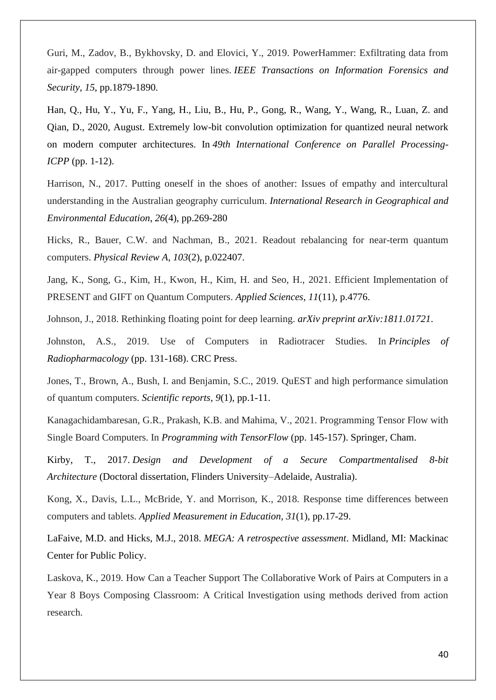Guri, M., Zadov, B., Bykhovsky, D. and Elovici, Y., 2019. PowerHammer: Exfiltrating data from air-gapped computers through power lines. *IEEE Transactions on Information Forensics and Security*, *15*, pp.1879-1890.

Han, Q., Hu, Y., Yu, F., Yang, H., Liu, B., Hu, P., Gong, R., Wang, Y., Wang, R., Luan, Z. and Qian, D., 2020, August. Extremely low-bit convolution optimization for quantized neural network on modern computer architectures. In *49th International Conference on Parallel Processing-ICPP* (pp. 1-12).

Harrison, N., 2017. Putting oneself in the shoes of another: Issues of empathy and intercultural understanding in the Australian geography curriculum. *International Research in Geographical and Environmental Education*, *26*(4), pp.269-280

Hicks, R., Bauer, C.W. and Nachman, B., 2021. Readout rebalancing for near-term quantum computers. *Physical Review A*, *103*(2), p.022407.

Jang, K., Song, G., Kim, H., Kwon, H., Kim, H. and Seo, H., 2021. Efficient Implementation of PRESENT and GIFT on Quantum Computers. *Applied Sciences*, *11*(11), p.4776.

Johnson, J., 2018. Rethinking floating point for deep learning. *arXiv preprint arXiv:1811.01721*.

Johnston, A.S., 2019. Use of Computers in Radiotracer Studies. In *Principles of Radiopharmacology* (pp. 131-168). CRC Press.

Jones, T., Brown, A., Bush, I. and Benjamin, S.C., 2019. QuEST and high performance simulation of quantum computers. *Scientific reports*, *9*(1), pp.1-11.

Kanagachidambaresan, G.R., Prakash, K.B. and Mahima, V., 2021. Programming Tensor Flow with Single Board Computers. In *Programming with TensorFlow* (pp. 145-157). Springer, Cham.

Kirby, T., 2017. *Design and Development of a Secure Compartmentalised 8-bit Architecture* (Doctoral dissertation, Flinders University–Adelaide, Australia).

Kong, X., Davis, L.L., McBride, Y. and Morrison, K., 2018. Response time differences between computers and tablets. *Applied Measurement in Education*, *31*(1), pp.17-29.

LaFaive, M.D. and Hicks, M.J., 2018. *MEGA: A retrospective assessment*. Midland, MI: Mackinac Center for Public Policy.

Laskova, K., 2019. How Can a Teacher Support The Collaborative Work of Pairs at Computers in a Year 8 Boys Composing Classroom: A Critical Investigation using methods derived from action research.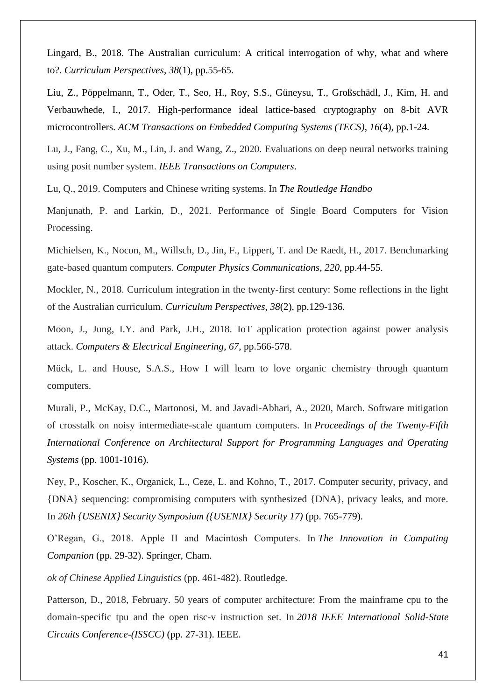Lingard, B., 2018. The Australian curriculum: A critical interrogation of why, what and where to?. *Curriculum Perspectives*, *38*(1), pp.55-65.

Liu, Z., Pöppelmann, T., Oder, T., Seo, H., Roy, S.S., Güneysu, T., Großschädl, J., Kim, H. and Verbauwhede, I., 2017. High-performance ideal lattice-based cryptography on 8-bit AVR microcontrollers. *ACM Transactions on Embedded Computing Systems (TECS)*, *16*(4), pp.1-24.

Lu, J., Fang, C., Xu, M., Lin, J. and Wang, Z., 2020. Evaluations on deep neural networks training using posit number system. *IEEE Transactions on Computers*.

Lu, Q., 2019. Computers and Chinese writing systems. In *The Routledge Handbo*

Manjunath, P. and Larkin, D., 2021. Performance of Single Board Computers for Vision Processing.

Michielsen, K., Nocon, M., Willsch, D., Jin, F., Lippert, T. and De Raedt, H., 2017. Benchmarking gate-based quantum computers. *Computer Physics Communications*, *220*, pp.44-55.

Mockler, N., 2018. Curriculum integration in the twenty-first century: Some reflections in the light of the Australian curriculum. *Curriculum Perspectives*, *38*(2), pp.129-136.

Moon, J., Jung, I.Y. and Park, J.H., 2018. IoT application protection against power analysis attack. *Computers & Electrical Engineering*, *67*, pp.566-578.

Mück, L. and House, S.A.S., How I will learn to love organic chemistry through quantum computers.

Murali, P., McKay, D.C., Martonosi, M. and Javadi-Abhari, A., 2020, March. Software mitigation of crosstalk on noisy intermediate-scale quantum computers. In *Proceedings of the Twenty-Fifth International Conference on Architectural Support for Programming Languages and Operating Systems* (pp. 1001-1016).

Ney, P., Koscher, K., Organick, L., Ceze, L. and Kohno, T., 2017. Computer security, privacy, and {DNA} sequencing: compromising computers with synthesized {DNA}, privacy leaks, and more. In *26th {USENIX} Security Symposium ({USENIX} Security 17)* (pp. 765-779).

O'Regan, G., 2018. Apple II and Macintosh Computers. In *The Innovation in Computing Companion* (pp. 29-32). Springer, Cham.

*ok of Chinese Applied Linguistics* (pp. 461-482). Routledge.

Patterson, D., 2018, February. 50 years of computer architecture: From the mainframe cpu to the domain-specific tpu and the open risc-v instruction set. In *2018 IEEE International Solid-State Circuits Conference-(ISSCC)* (pp. 27-31). IEEE.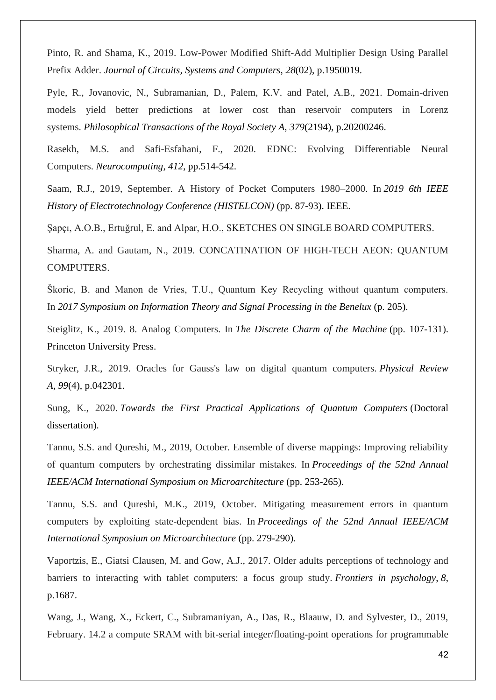Pinto, R. and Shama, K., 2019. Low-Power Modified Shift-Add Multiplier Design Using Parallel Prefix Adder. *Journal of Circuits, Systems and Computers*, *28*(02), p.1950019.

Pyle, R., Jovanovic, N., Subramanian, D., Palem, K.V. and Patel, A.B., 2021. Domain-driven models yield better predictions at lower cost than reservoir computers in Lorenz systems. *Philosophical Transactions of the Royal Society A*, *379*(2194), p.20200246.

Rasekh, M.S. and Safi-Esfahani, F., 2020. EDNC: Evolving Differentiable Neural Computers. *Neurocomputing*, *412*, pp.514-542.

Saam, R.J., 2019, September. A History of Pocket Computers 1980–2000. In *2019 6th IEEE History of Electrotechnology Conference (HISTELCON)* (pp. 87-93). IEEE.

Şapçı, A.O.B., Ertuğrul, E. and Alpar, H.O., SKETCHES ON SINGLE BOARD COMPUTERS.

Sharma, A. and Gautam, N., 2019. CONCATINATION OF HIGH-TECH AEON: QUANTUM COMPUTERS.

Škoric, B. and Manon de Vries, T.U., Quantum Key Recycling without quantum computers. In *2017 Symposium on Information Theory and Signal Processing in the Benelux* (p. 205).

Steiglitz, K., 2019. 8. Analog Computers. In *The Discrete Charm of the Machine* (pp. 107-131). Princeton University Press.

Stryker, J.R., 2019. Oracles for Gauss's law on digital quantum computers. *Physical Review A*, *99*(4), p.042301.

Sung, K., 2020. *Towards the First Practical Applications of Quantum Computers* (Doctoral dissertation).

Tannu, S.S. and Qureshi, M., 2019, October. Ensemble of diverse mappings: Improving reliability of quantum computers by orchestrating dissimilar mistakes. In *Proceedings of the 52nd Annual IEEE/ACM International Symposium on Microarchitecture* (pp. 253-265).

Tannu, S.S. and Qureshi, M.K., 2019, October. Mitigating measurement errors in quantum computers by exploiting state-dependent bias. In *Proceedings of the 52nd Annual IEEE/ACM International Symposium on Microarchitecture* (pp. 279-290).

Vaportzis, E., Giatsi Clausen, M. and Gow, A.J., 2017. Older adults perceptions of technology and barriers to interacting with tablet computers: a focus group study. *Frontiers in psychology*, *8*, p.1687.

Wang, J., Wang, X., Eckert, C., Subramaniyan, A., Das, R., Blaauw, D. and Sylvester, D., 2019, February. 14.2 a compute SRAM with bit-serial integer/floating-point operations for programmable